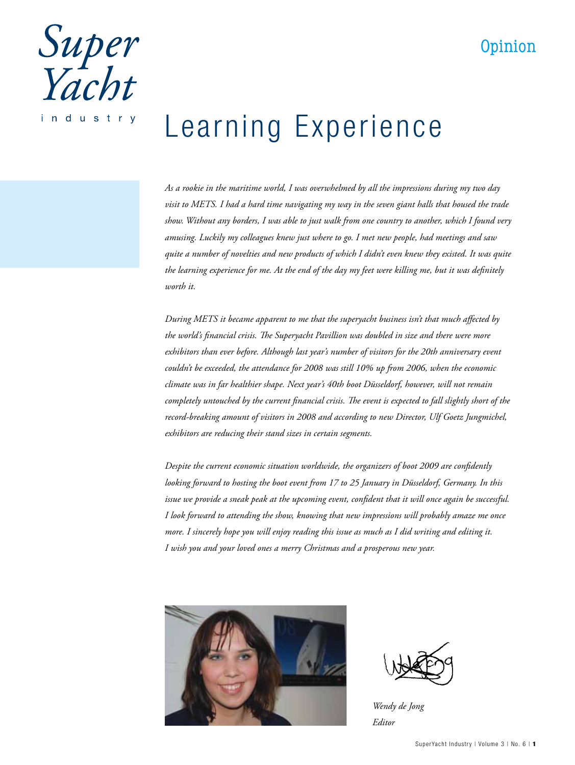## Opinion



## Learning Experience

*As a rookie in the maritime world, I was overwhelmed by all the impressions during my two day visit to METS. I had a hard time navigating my way in the seven giant halls that housed the trade show. Without any borders, I was able to just walk from one country to another, which I found very amusing. Luckily my colleagues knew just where to go. I met new people, had meetings and saw quite a number of novelties and new products of which I didn't even knew they existed. It was quite the learning experience for me. At the end of the day my feet were killing me, but it was definitely worth it.*

*During METS it became apparent to me that the superyacht business isn't that much affected by the world's financial crisis. The Superyacht Pavillion was doubled in size and there were more exhibitors than ever before. Although last year's number of visitors for the 20th anniversary event couldn't be exceeded, the attendance for 2008 was still 10% up from 2006, when the economic climate was in far healthier shape. Next year's 40th boot Düsseldorf, however, will not remain completely untouched by the current financial crisis. The event is expected to fall slightly short of the record-breaking amount of visitors in 2008 and according to new Director, Ulf Goetz Jungmichel, exhibitors are reducing their stand sizes in certain segments.*

*Despite the current economic situation worldwide, the organizers of boot 2009 are confidently looking forward to hosting the boot event from 17 to 25 January in Düsseldorf, Germany. In this issue we provide a sneak peak at the upcoming event, confident that it will once again be successful. I look forward to attending the show, knowing that new impressions will probably amaze me once more. I sincerely hope you will enjoy reading this issue as much as I did writing and editing it. I wish you and your loved ones a merry Christmas and a prosperous new year.*





*Wendy de Jong Editor*